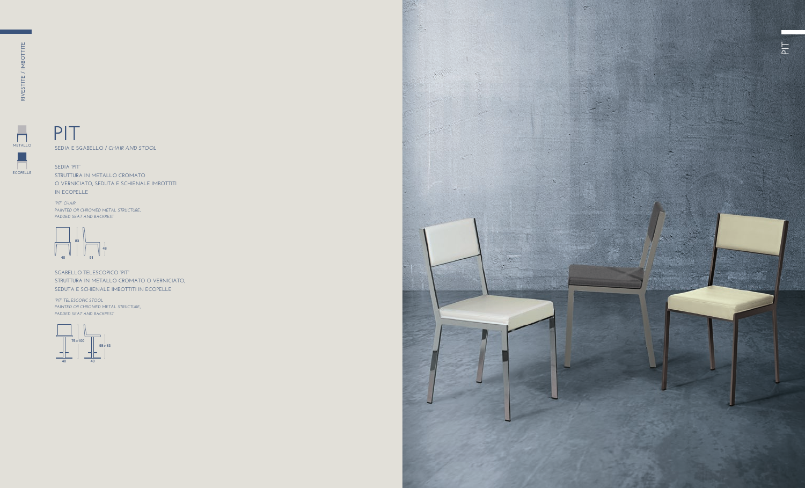**SEDIA E SGABELLO /** *CHAIR AND STOOL*

**SEDIA "PIT"** 

**STRUTTURA IN METALLO CROMATO O VERNICIATO, SEDUTA E SCHIENALE IMBOTTITI IN ECOPELLE** 

**SGABELLO TELESCOPICO "PIT" STRUTTURA IN METALLO CROMATO O VERNICIATO, SEDUTA E SCHIENALE IMBOTTITI IN ECOPELLE** 

*"PIT" CHAIR PAINTED OR CHROMED METAL STRUCTURE, PADDED SEAT AND BACKREST*

*"PIT" TELESCOPIC STOOL PAINTED OR CHROMED METAL STRUCTURE, PADDED SEAT AND BACKREST*



**METALLO**

 $\overline{\phantom{a}}$ 





# **PIT**